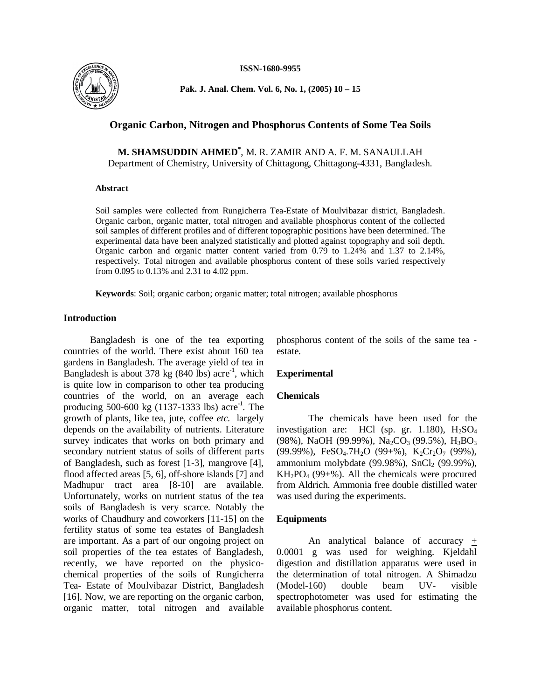**ISSN-1680-9955**



**Pak. J. Anal. Chem. Vol. 6, No. 1, (2005) 10 – 15** 

# **Organic Carbon, Nitrogen and Phosphorus Contents of Some Tea Soils**

**M. SHAMSUDDIN AHMED\*** , M. R. ZAMIR AND A. F. M. SANAULLAH Department of Chemistry, University of Chittagong, Chittagong-4331, Bangladesh.

#### **Abstract**

Soil samples were collected from Rungicherra Tea-Estate of Moulvibazar district, Bangladesh. Organic carbon, organic matter, total nitrogen and available phosphorus content of the collected soil samples of different profiles and of different topographic positions have been determined. The experimental data have been analyzed statistically and plotted against topography and soil depth. Organic carbon and organic matter content varied from 0.79 to 1.24% and 1.37 to 2.14%, respectively. Total nitrogen and available phosphorus content of these soils varied respectively from 0.095 to 0.13% and 2.31 to 4.02 ppm.

**Keywords**: Soil; organic carbon; organic matter; total nitrogen; available phosphorus

# **Introduction**

Bangladesh is one of the tea exporting countries of the world. There exist about 160 tea gardens in Bangladesh. The average yield of tea in Bangladesh is about  $378 \text{ kg}$  (840 lbs) acre<sup>-1</sup>, which is quite low in comparison to other tea producing countries of the world, on an average each producing 500-600 kg  $(1137-1333$  lbs) acre<sup>-1</sup>. The growth of plants, like tea, jute, coffee *etc.* largely depends on the availability of nutrients. Literature survey indicates that works on both primary and secondary nutrient status of soils of different parts of Bangladesh, such as forest [1-3], mangrove [4], flood affected areas [5, 6], off-shore islands [7] and Madhupur tract area [8-10] are available. Unfortunately, works on nutrient status of the tea soils of Bangladesh is very scarce. Notably the works of Chaudhury and coworkers [11-15] on the fertility status of some tea estates of Bangladesh are important. As a part of our ongoing project on soil properties of the tea estates of Bangladesh, recently, we have reported on the physicochemical properties of the soils of Rungicherra Tea- Estate of Moulvibazar District, Bangladesh [16]. Now, we are reporting on the organic carbon, organic matter, total nitrogen and available

phosphorus content of the soils of the same tea estate.

### **Experimental**

### **Chemicals**

The chemicals have been used for the investigation are: HCl (sp. gr. 1.180),  $H_2SO_4$ (98%), NaOH (99.99%), Na<sub>2</sub>CO<sub>3</sub> (99.5%), H<sub>3</sub>BO<sub>3</sub> (99.99%), FeSO<sub>4</sub>.7H<sub>2</sub>O (99+%), K<sub>2</sub>Cr<sub>2</sub>O<sub>7</sub> (99%), ammonium molybdate (99.98%),  $SnCl<sub>2</sub>$  (99.99%),  $KH<sub>2</sub>PO<sub>4</sub>$  (99+%). All the chemicals were procured from Aldrich. Ammonia free double distilled water was used during the experiments.

# **Equipments**

An analytical balance of accuracy  $+$ 0.0001 g was used for weighing. Kjeldahl digestion and distillation apparatus were used in the determination of total nitrogen. A Shimadzu (Model-160) double beam UV- visible spectrophotometer was used for estimating the available phosphorus content.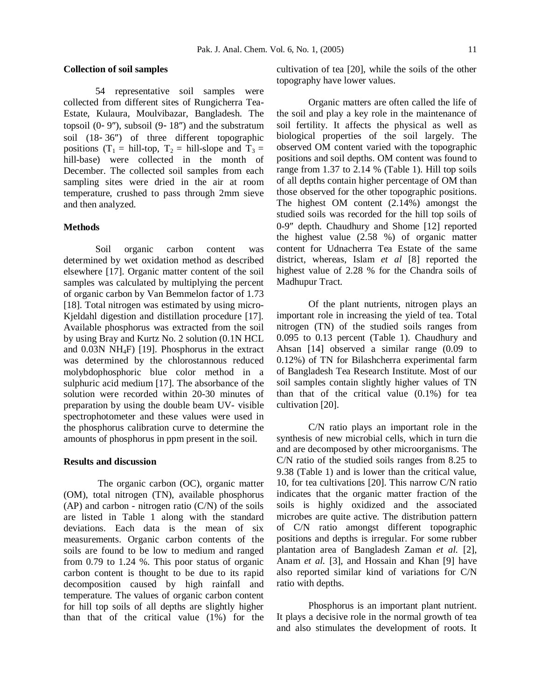#### **Collection of soil samples**

54 representative soil samples were collected from different sites of Rungicherra Tea-Estate, Kulaura, Moulvibazar, Bangladesh. The topsoil  $(0-9'')$ , subsoil  $(9-18'')$  and the substratum soil  $(18-36'')$  of three different topographic positions  $(T_1 = \text{hill-top}, T_2 = \text{hill-slope}$  and  $T_3 =$ hill-base) were collected in the month of December. The collected soil samples from each sampling sites were dried in the air at room temperature, crushed to pass through 2mm sieve and then analyzed.

#### **Methods**

Soil organic carbon content was determined by wet oxidation method as described elsewhere [17]. Organic matter content of the soil samples was calculated by multiplying the percent of organic carbon by Van Bemmelon factor of 1.73 [18]. Total nitrogen was estimated by using micro-Kjeldahl digestion and distillation procedure [17]. Available phosphorus was extracted from the soil by using Bray and Kurtz No. 2 solution (0.1N HCL and 0.03N NH4F) [19]. Phosphorus in the extract was determined by the chlorostannous reduced molybdophosphoric blue color method in a sulphuric acid medium [17]. The absorbance of the solution were recorded within 20-30 minutes of preparation by using the double beam UV- visible spectrophotometer and these values were used in the phosphorus calibration curve to determine the amounts of phosphorus in ppm present in the soil.

### **Results and discussion**

The organic carbon (OC), organic matter (OM), total nitrogen (TN), available phosphorus  $(AP)$  and carbon - nitrogen ratio  $(C/N)$  of the soils are listed in Table 1 along with the standard deviations. Each data is the mean of six measurements. Organic carbon contents of the soils are found to be low to medium and ranged from 0.79 to 1.24 %. This poor status of organic carbon content is thought to be due to its rapid decomposition caused by high rainfall and temperature. The values of organic carbon content for hill top soils of all depths are slightly higher than that of the critical value (1%) for the cultivation of tea [20], while the soils of the other topography have lower values.

Organic matters are often called the life of the soil and play a key role in the maintenance of soil fertility. It affects the physical as well as biological properties of the soil largely. The observed OM content varied with the topographic positions and soil depths. OM content was found to range from 1.37 to 2.14 % (Table 1). Hill top soils of all depths contain higher percentage of OM than those observed for the other topographic positions. The highest OM content (2.14%) amongst the studied soils was recorded for the hill top soils of 0-9" depth. Chaudhury and Shome [12] reported the highest value (2.58 %) of organic matter content for Udnacherra Tea Estate of the same district, whereas, Islam *et al* [8] reported the highest value of 2.28 % for the Chandra soils of Madhupur Tract.

Of the plant nutrients, nitrogen plays an important role in increasing the yield of tea. Total nitrogen (TN) of the studied soils ranges from 0.095 to 0.13 percent (Table 1). Chaudhury and Ahsan [14] observed a similar range (0.09 to 0.12%) of TN for Bilashcherra experimental farm of Bangladesh Tea Research Institute. Most of our soil samples contain slightly higher values of TN than that of the critical value (0.1%) for tea cultivation [20].

C/N ratio plays an important role in the synthesis of new microbial cells, which in turn die and are decomposed by other microorganisms. The C/N ratio of the studied soils ranges from 8.25 to 9.38 (Table 1) and is lower than the critical value, 10, for tea cultivations [20]. This narrow C/N ratio indicates that the organic matter fraction of the soils is highly oxidized and the associated microbes are quite active. The distribution pattern of C/N ratio amongst different topographic positions and depths is irregular. For some rubber plantation area of Bangladesh Zaman *et al.* [2], Anam *et al.* [3], and Hossain and Khan [9] have also reported similar kind of variations for C/N ratio with depths.

Phosphorus is an important plant nutrient. It plays a decisive role in the normal growth of tea and also stimulates the development of roots. It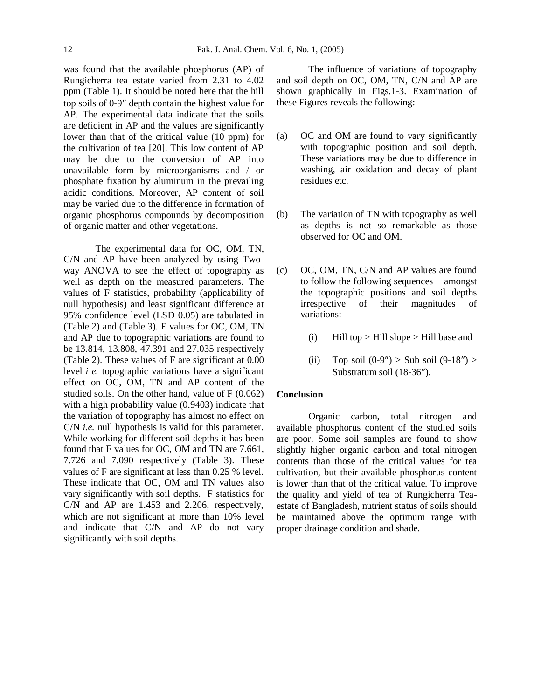was found that the available phosphorus (AP) of Rungicherra tea estate varied from 2.31 to 4.02 ppm (Table 1). It should be noted here that the hill top soils of 0-9" depth contain the highest value for AP. The experimental data indicate that the soils are deficient in AP and the values are significantly lower than that of the critical value (10 ppm) for the cultivation of tea [20]. This low content of AP may be due to the conversion of AP into unavailable form by microorganisms and / or phosphate fixation by aluminum in the prevailing acidic conditions. Moreover, AP content of soil may be varied due to the difference in formation of organic phosphorus compounds by decomposition of organic matter and other vegetations.

The experimental data for OC, OM, TN, C/N and AP have been analyzed by using Twoway ANOVA to see the effect of topography as well as depth on the measured parameters. The values of F statistics, probability (applicability of null hypothesis) and least significant difference at 95% confidence level (LSD 0.05) are tabulated in (Table 2) and (Table 3). F values for OC, OM, TN and AP due to topographic variations are found to be 13.814, 13.808, 47.391 and 27.035 respectively (Table 2). These values of F are significant at 0.00 level *i e.* topographic variations have a significant effect on OC, OM, TN and AP content of the studied soils. On the other hand, value of F (0.062) with a high probability value (0.9403) indicate that the variation of topography has almost no effect on C/N *i.e.* null hypothesis is valid for this parameter. While working for different soil depths it has been found that F values for OC, OM and TN are 7.661, 7.726 and 7.090 respectively (Table 3). These values of F are significant at less than 0.25 % level. These indicate that OC, OM and TN values also vary significantly with soil depths. F statistics for C/N and AP are 1.453 and 2.206, respectively, which are not significant at more than 10% level and indicate that C/N and AP do not vary significantly with soil depths.

The influence of variations of topography and soil depth on OC, OM, TN, C/N and AP are shown graphically in Figs.1-3. Examination of these Figures reveals the following:

- (a) OC and OM are found to vary significantly with topographic position and soil depth. These variations may be due to difference in washing, air oxidation and decay of plant residues etc.
- (b) The variation of TN with topography as well as depths is not so remarkable as those observed for OC and OM.
- (c) OC, OM, TN, C/N and AP values are found to follow the following sequences amongst the topographic positions and soil depths irrespective of their magnitudes of variations:
	- (i) Hill top  $>$  Hill slope  $>$  Hill base and
	- (ii) Top soil  $(0-9'') >$  Sub soil  $(9-18'') >$ Substratum soil (18-36").

## **Conclusion**

Organic carbon, total nitrogen and available phosphorus content of the studied soils are poor. Some soil samples are found to show slightly higher organic carbon and total nitrogen contents than those of the critical values for tea cultivation, but their available phosphorus content is lower than that of the critical value. To improve the quality and yield of tea of Rungicherra Teaestate of Bangladesh, nutrient status of soils should be maintained above the optimum range with proper drainage condition and shade.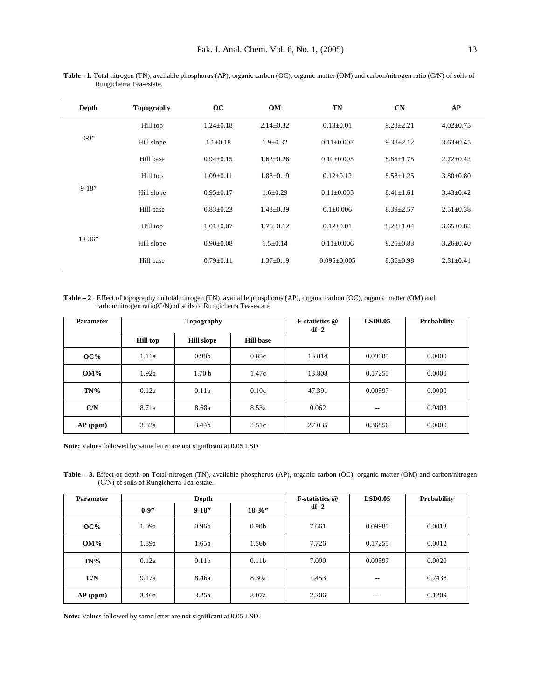| Depth    | <b>Topography</b> | OC              | <b>OM</b>       | <b>TN</b>         | CN              | AP              |
|----------|-------------------|-----------------|-----------------|-------------------|-----------------|-----------------|
| $0-9"$   | Hill top          | $1.24 + 0.18$   | $2.14 + 0.32$   | $0.13 + 0.01$     | $9.28 + 2.21$   | $4.02 \pm 0.75$ |
|          | Hill slope        | $1.1 \pm 0.18$  | $1.9+0.32$      | $0.11 \pm 0.007$  | $9.38 \pm 2.12$ | $3.63 \pm 0.45$ |
|          | Hill base         | $0.94 + 0.15$   | $1.62 + 0.26$   | $0.10+0.005$      | $8.85 \pm 1.75$ | $2.72+0.42$     |
|          | Hill top          | $1.09 + 0.11$   | $1.88 \pm 0.19$ | $0.12 \pm 0.12$   | $8.58 \pm 1.25$ | $3.80 \pm 0.80$ |
| $9-18"$  | Hill slope        | $0.95 + 0.17$   | $1.6 + 0.29$    | $0.11 + 0.005$    | $8.41 \pm 1.61$ | $3.43 + 0.42$   |
|          | Hill base         | $0.83 + 0.23$   | $1.43 + 0.39$   | $0.1 \pm 0.006$   | $8.39 + 2.57$   | $2.51 \pm 0.38$ |
| $18-36"$ | Hill top          | $1.01 + 0.07$   | $1.75 + 0.12$   | $0.12 + 0.01$     | $8.28 + 1.04$   | $3.65 \pm 0.82$ |
|          | Hill slope        | $0.90 + 0.08$   | $1.5+0.14$      | $0.11 + 0.006$    | $8.25 \pm 0.83$ | $3.26 + 0.40$   |
|          | Hill base         | $0.79 \pm 0.11$ | $1.37 \pm 0.19$ | $0.095 \pm 0.005$ | $8.36 \pm 0.98$ | $2.31 \pm 0.41$ |

**Table - 1.** Total nitrogen (TN), available phosphorus (AP), organic carbon (OC), organic matter (OM) and carbon/nitrogen ratio (C/N) of soils of Rungicherra Tea-estate.

**Table – 2** . Effect of topography on total nitrogen (TN), available phosphorus (AP), organic carbon (OC), organic matter (OM) and carbon/nitrogen ratio(C/N) of soils of Rungicherra Tea-estate.

| <b>Parameter</b> | Topography      |                   |                  | <b>F-statistics</b> @<br>$df=2$ | <b>LSD0.05</b> | Probability |
|------------------|-----------------|-------------------|------------------|---------------------------------|----------------|-------------|
|                  | <b>Hill top</b> | <b>Hill slope</b> | <b>Hill base</b> |                                 |                |             |
| OC%              | 1.11a           | 0.98 <sub>b</sub> | 0.85c            | 13.814                          | 0.09985        | 0.0000      |
| $OM\%$           | 1.92a           | 1.70 <sub>b</sub> | 1.47c            | 13.808                          | 0.17255        | 0.0000      |
| $TN\%$           | 0.12a           | 0.11 <sub>b</sub> | 0.10c            | 47.391                          | 0.00597        | 0.0000      |
| C/N              | 8.71a           | 8.68a             | 8.53a            | 0.062                           | $- -$          | 0.9403      |
| $AP$ (ppm)       | 3.82a           | 3.44b             | 2.51c            | 27.035                          | 0.36856        | 0.0000      |

**Note:** Values followed by same letter are not significant at 0.05 LSD

**Table – 3.** Effect of depth on Total nitrogen (TN), available phosphorus (AP), organic carbon (OC), organic matter (OM) and carbon/nitrogen (C/N) of soils of Rungicherra Tea-estate.

| <b>Parameter</b> | Depth  |                   |                   | F-statistics @ | <b>LSD0.05</b> | Probability |
|------------------|--------|-------------------|-------------------|----------------|----------------|-------------|
|                  | $0-9"$ | $9-18"$           | $18-36"$          | $df=2$         |                |             |
| OC%              | 1.09a  | 0.96 <sub>b</sub> | 0.90 <sub>b</sub> | 7.661          | 0.09985        | 0.0013      |
| <b>OM%</b>       | 1.89a  | 1.65b             | 1.56b             | 7.726          | 0.17255        | 0.0012      |
| $TN\%$           | 0.12a  | 0.11 <sub>b</sub> | 0.11 <sub>b</sub> | 7.090          | 0.00597        | 0.0020      |
| C/N              | 9.17a  | 8.46a             | 8.30a             | 1.453          | $- -$          | 0.2438      |
| $AP$ (ppm)       | 3.46a  | 3.25a             | 3.07a             | 2.206          | --             | 0.1209      |

**Note:** Values followed by same letter are not significant at 0.05 LSD.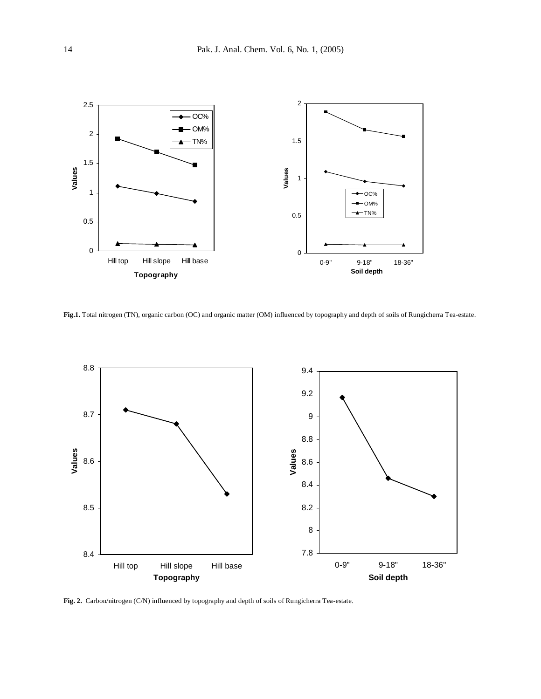

**Fig.1.** Total nitrogen (TN), organic carbon (OC) and organic matter (OM) influenced by topography and depth of soils of Rungicherra Tea-estate.



**Fig. 2.** Carbon/nitrogen (C/N) influenced by topography and depth of soils of Rungicherra Tea-estate.